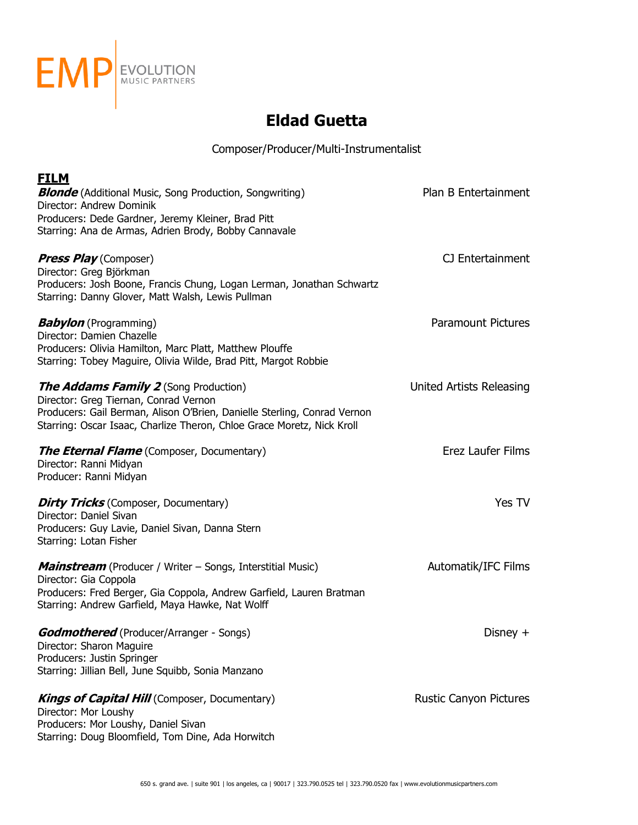

| <b>FILM</b>                                                                                                                |                               |
|----------------------------------------------------------------------------------------------------------------------------|-------------------------------|
| <b>Blonde</b> (Additional Music, Song Production, Songwriting)                                                             | Plan B Entertainment          |
| Director: Andrew Dominik                                                                                                   |                               |
| Producers: Dede Gardner, Jeremy Kleiner, Brad Pitt                                                                         |                               |
| Starring: Ana de Armas, Adrien Brody, Bobby Cannavale                                                                      |                               |
| <b>Press Play</b> (Composer)                                                                                               | CJ Entertainment              |
| Director: Greg Björkman                                                                                                    |                               |
| Producers: Josh Boone, Francis Chung, Logan Lerman, Jonathan Schwartz<br>Starring: Danny Glover, Matt Walsh, Lewis Pullman |                               |
| <b>Babylon</b> (Programming)                                                                                               | <b>Paramount Pictures</b>     |
| Director: Damien Chazelle                                                                                                  |                               |
| Producers: Olivia Hamilton, Marc Platt, Matthew Plouffe<br>Starring: Tobey Maguire, Olivia Wilde, Brad Pitt, Margot Robbie |                               |
| <b>The Addams Family 2</b> (Song Production)                                                                               | United Artists Releasing      |
| Director: Greg Tiernan, Conrad Vernon                                                                                      |                               |
| Producers: Gail Berman, Alison O'Brien, Danielle Sterling, Conrad Vernon                                                   |                               |
| Starring: Oscar Isaac, Charlize Theron, Chloe Grace Moretz, Nick Kroll                                                     |                               |
| <b>The Eternal Flame</b> (Composer, Documentary)                                                                           | Erez Laufer Films             |
| Director: Ranni Midyan                                                                                                     |                               |
| Producer: Ranni Midyan                                                                                                     |                               |
| <b>Dirty Tricks</b> (Composer, Documentary)                                                                                | Yes TV                        |
| Director: Daniel Sivan                                                                                                     |                               |
| Producers: Guy Lavie, Daniel Sivan, Danna Stern<br>Starring: Lotan Fisher                                                  |                               |
| <b>Mainstream</b> (Producer / Writer – Songs, Interstitial Music)                                                          | Automatik/IFC Films           |
| Director: Gia Coppola                                                                                                      |                               |
| Producers: Fred Berger, Gia Coppola, Andrew Garfield, Lauren Bratman                                                       |                               |
| Starring: Andrew Garfield, Maya Hawke, Nat Wolff                                                                           |                               |
| <b>Godmothered</b> (Producer/Arranger - Songs)                                                                             | Disney $+$                    |
| Director: Sharon Maguire                                                                                                   |                               |
| Producers: Justin Springer                                                                                                 |                               |
| Starring: Jillian Bell, June Squibb, Sonia Manzano                                                                         |                               |
| <b>Kings of Capital Hill</b> (Composer, Documentary)                                                                       | <b>Rustic Canyon Pictures</b> |
| Director: Mor Loushy<br>Producers: Mor Loushy, Daniel Sivan                                                                |                               |
| Starring: Doug Bloomfield, Tom Dine, Ada Horwitch                                                                          |                               |
|                                                                                                                            |                               |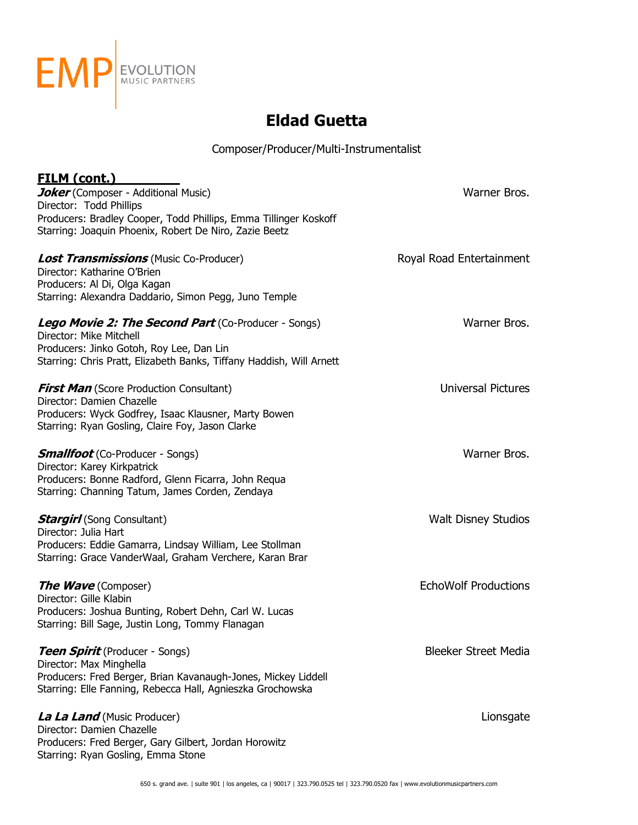

| <u>FILM (cont.)</u>                                                  |                             |
|----------------------------------------------------------------------|-----------------------------|
| Joker (Composer - Additional Music)                                  | Warner Bros.                |
| Director: Todd Phillips                                              |                             |
| Producers: Bradley Cooper, Todd Phillips, Emma Tillinger Koskoff     |                             |
| Starring: Joaquin Phoenix, Robert De Niro, Zazie Beetz               |                             |
| <b>Lost Transmissions</b> (Music Co-Producer)                        | Royal Road Entertainment    |
| Director: Katharine O'Brien                                          |                             |
| Producers: Al Di, Olga Kagan                                         |                             |
| Starring: Alexandra Daddario, Simon Pegg, Juno Temple                |                             |
| <b>Lego Movie 2: The Second Part</b> (Co-Producer - Songs)           | Warner Bros.                |
| Director: Mike Mitchell                                              |                             |
| Producers: Jinko Gotoh, Roy Lee, Dan Lin                             |                             |
| Starring: Chris Pratt, Elizabeth Banks, Tiffany Haddish, Will Arnett |                             |
| <b>First Man</b> (Score Production Consultant)                       | <b>Universal Pictures</b>   |
| Director: Damien Chazelle                                            |                             |
| Producers: Wyck Godfrey, Isaac Klausner, Marty Bowen                 |                             |
| Starring: Ryan Gosling, Claire Foy, Jason Clarke                     |                             |
| <b>Smallfoot</b> (Co-Producer - Songs)                               | Warner Bros.                |
| Director: Karey Kirkpatrick                                          |                             |
| Producers: Bonne Radford, Glenn Ficarra, John Requa                  |                             |
| Starring: Channing Tatum, James Corden, Zendaya                      |                             |
| <b>Stargirl</b> (Song Consultant)                                    | <b>Walt Disney Studios</b>  |
| Director: Julia Hart                                                 |                             |
| Producers: Eddie Gamarra, Lindsay William, Lee Stollman              |                             |
| Starring: Grace VanderWaal, Graham Verchere, Karan Brar              |                             |
| <b>The Wave</b> (Composer)                                           | <b>EchoWolf Productions</b> |
| Director: Gille Klabin                                               |                             |
| Producers: Joshua Bunting, Robert Dehn, Carl W. Lucas                |                             |
| Starring: Bill Sage, Justin Long, Tommy Flanagan                     |                             |
| <b>Teen Spirit</b> (Producer - Songs)                                | <b>Bleeker Street Media</b> |
| Director: Max Minghella                                              |                             |
| Producers: Fred Berger, Brian Kavanaugh-Jones, Mickey Liddell        |                             |
| Starring: Elle Fanning, Rebecca Hall, Agnieszka Grochowska           |                             |
| La La Land (Music Producer)                                          | Lionsgate                   |
| Director: Damien Chazelle                                            |                             |
| Producers: Fred Berger, Gary Gilbert, Jordan Horowitz                |                             |
| Starring: Ryan Gosling, Emma Stone                                   |                             |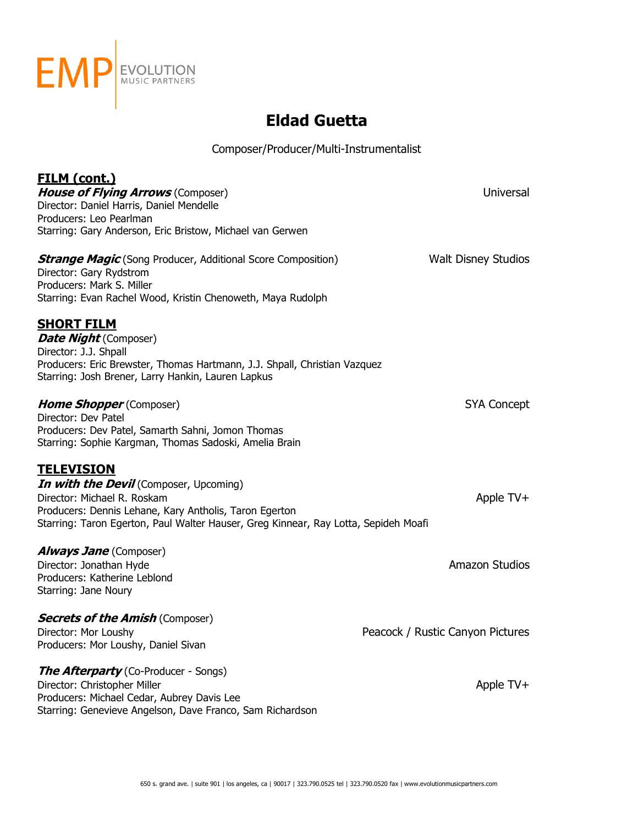

| <u>FILM (cont.)</u>                                                                 |                                  |
|-------------------------------------------------------------------------------------|----------------------------------|
| <b>House of Flying Arrows (Composer)</b>                                            | Universal                        |
| Director: Daniel Harris, Daniel Mendelle<br>Producers: Leo Pearlman                 |                                  |
| Starring: Gary Anderson, Eric Bristow, Michael van Gerwen                           |                                  |
|                                                                                     |                                  |
| <b>Strange Magic</b> (Song Producer, Additional Score Composition)                  | <b>Walt Disney Studios</b>       |
| Director: Gary Rydstrom                                                             |                                  |
| Producers: Mark S. Miller                                                           |                                  |
| Starring: Evan Rachel Wood, Kristin Chenoweth, Maya Rudolph                         |                                  |
| <b>SHORT FILM</b>                                                                   |                                  |
| <b>Date Night</b> (Composer)                                                        |                                  |
| Director: J.J. Shpall                                                               |                                  |
| Producers: Eric Brewster, Thomas Hartmann, J.J. Shpall, Christian Vazquez           |                                  |
| Starring: Josh Brener, Larry Hankin, Lauren Lapkus                                  |                                  |
|                                                                                     |                                  |
| <b>Home Shopper</b> (Composer)                                                      | SYA Concept                      |
| Director: Dev Patel<br>Producers: Dev Patel, Samarth Sahni, Jomon Thomas            |                                  |
| Starring: Sophie Kargman, Thomas Sadoski, Amelia Brain                              |                                  |
|                                                                                     |                                  |
| <b>TELEVISION</b>                                                                   |                                  |
| In with the Devil (Composer, Upcoming)                                              |                                  |
| Director: Michael R. Roskam                                                         | Apple TV+                        |
| Producers: Dennis Lehane, Kary Antholis, Taron Egerton                              |                                  |
| Starring: Taron Egerton, Paul Walter Hauser, Greg Kinnear, Ray Lotta, Sepideh Moafi |                                  |
| <b>Always Jane</b> (Composer)                                                       |                                  |
| Director: Jonathan Hyde                                                             | <b>Amazon Studios</b>            |
| Producers: Katherine Leblond                                                        |                                  |
| Starring: Jane Noury                                                                |                                  |
|                                                                                     |                                  |
| <b>Secrets of the Amish (Composer)</b>                                              |                                  |
| Director: Mor Loushy                                                                | Peacock / Rustic Canyon Pictures |
| Producers: Mor Loushy, Daniel Sivan                                                 |                                  |
| <b>The Afterparty</b> (Co-Producer - Songs)                                         |                                  |
| Director: Christopher Miller                                                        | Apple TV+                        |
| Producers: Michael Cedar, Aubrey Davis Lee                                          |                                  |
| Starring: Genevieve Angelson, Dave Franco, Sam Richardson                           |                                  |
|                                                                                     |                                  |